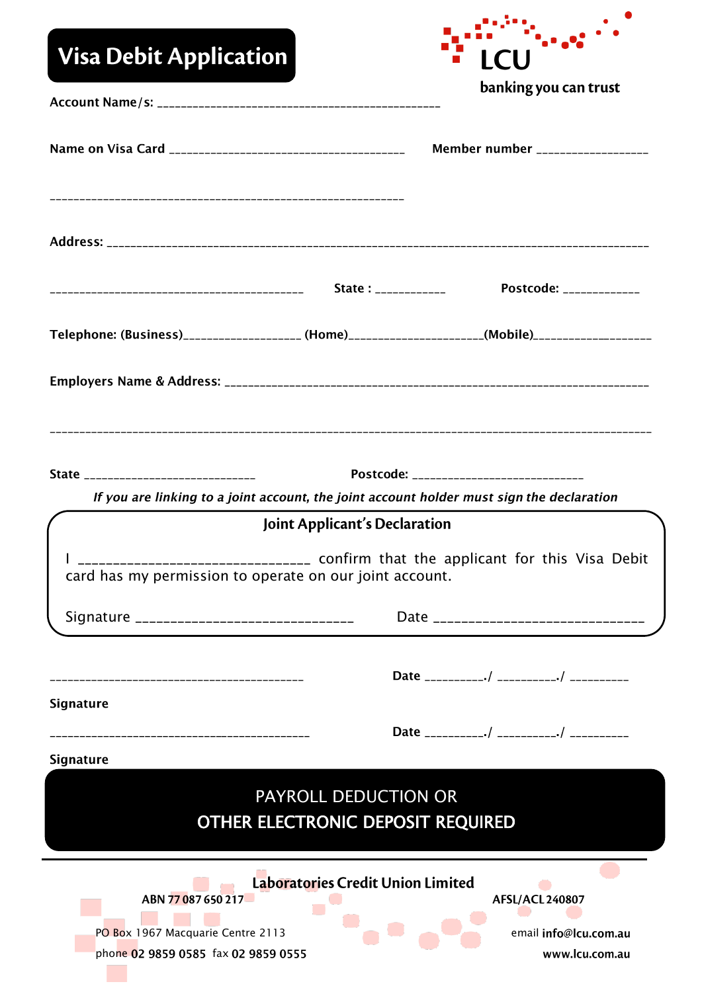| <b>Visa Debit Application</b>                                                                                                                                                                         |  |                                                                                                    |
|-------------------------------------------------------------------------------------------------------------------------------------------------------------------------------------------------------|--|----------------------------------------------------------------------------------------------------|
|                                                                                                                                                                                                       |  | banking you can trust                                                                              |
|                                                                                                                                                                                                       |  | Member number ___________________                                                                  |
|                                                                                                                                                                                                       |  |                                                                                                    |
|                                                                                                                                                                                                       |  | Postcode: _____________                                                                            |
|                                                                                                                                                                                                       |  | Telephone: (Business)____________________ (Home)____________________(Mobile)______________________ |
|                                                                                                                                                                                                       |  |                                                                                                    |
| Postcode: _____________________________<br>State ______________________________<br>If you are linking to a joint account, the joint account holder must sign the declaration                          |  |                                                                                                    |
| Joint Applicant's Declaration                                                                                                                                                                         |  |                                                                                                    |
| _______________________ confirm that the applicant for this Visa Debit<br>card has my permission to operate on our joint account.                                                                     |  |                                                                                                    |
|                                                                                                                                                                                                       |  | Date _______________________________                                                               |
| ------------------------------------                                                                                                                                                                  |  |                                                                                                    |
| <b>Signature</b>                                                                                                                                                                                      |  |                                                                                                    |
| <b>Signature</b>                                                                                                                                                                                      |  |                                                                                                    |
| PAYROLL DEDUCTION OR<br>OTHER ELECTRONIC DEPOSIT REQUIRED                                                                                                                                             |  |                                                                                                    |
| Laboratories Credit Union Limited<br>ABN 77087650217<br><b>AFSL/ACL 240807</b><br>PO Box 1967 Macquarie Centre 2113<br>email info@lcu.com.au<br>phone 02 9859 0585 fax 02 9859 0555<br>www.lcu.com.au |  |                                                                                                    |